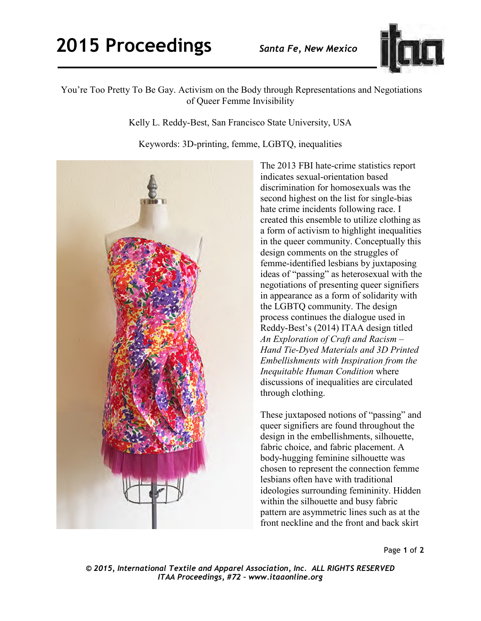

## You're Too Pretty To Be Gay. Activism on the Body through Representations and Negotiations of Queer Femme Invisibility

Kelly L. Reddy-Best, San Francisco State University, USA

Keywords: 3D-printing, femme, LGBTQ, inequalities



The 2013 FBI hate-crime statistics report indicates sexual-orientation based discrimination for homosexuals was the second highest on the list for single-bias hate crime incidents following race. I created this ensemble to utilize clothing as a form of activism to highlight inequalities in the queer community. Conceptually this design comments on the struggles of femme-identified lesbians by juxtaposing ideas of "passing" as heterosexual with the negotiations of presenting queer signifiers in appearance as a form of solidarity with the LGBTQ community. The design process continues the dialogue used in Reddy-Best's (2014) ITAA design titled *An Exploration of Craft and Racism* – *Hand Tie-Dyed Materials and 3D Printed Embellishments with Inspiration from the Inequitable Human Condition* where discussions of inequalities are circulated through clothing.

These juxtaposed notions of "passing" and queer signifiers are found throughout the design in the embellishments, silhouette, fabric choice, and fabric placement. A body-hugging feminine silhouette was chosen to represent the connection femme lesbians often have with traditional ideologies surrounding femininity. Hidden within the silhouette and busy fabric pattern are asymmetric lines such as at the front neckline and the front and back skirt

Page **1** of **2** 

*© 2015, International Textile and Apparel Association, Inc. ALL RIGHTS RESERVED ITAA Proceedings, #72 – www.itaaonline.org*